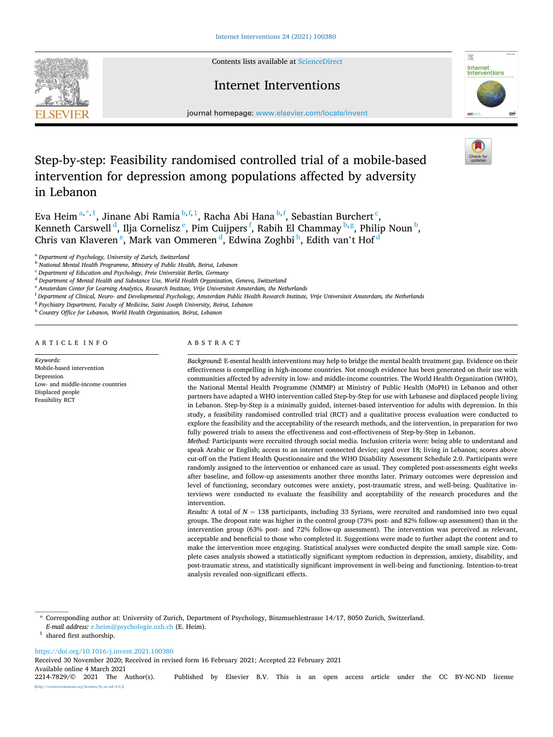Contents lists available at [ScienceDirect](www.sciencedirect.com/science/journal/22147829)



## Internet Interventions



journal homepage: [www.elsevier.com/locate/invent](https://www.elsevier.com/locate/invent)

# Step-by-step: Feasibility randomised controlled trial of a mobile-based intervention for depression among populations affected by adversity in Lebanon

Eva Heim<sup>a,\*,1</sup>, Jinane Abi Ramia <sup>b,f,1</sup>, Racha Abi Hana <sup>b,f</sup>, Sebastian Burchert <sup>c</sup>, Kenneth Carswell <sup>d</sup>, Ilja Cornelisz <sup>e</sup>, Pim Cuijpers <sup>f</sup>, Rabih El Chammay <sup>b,g</sup>, Philip Noun <sup>b</sup>, Chris van Klaveren  $\mathrm{^e_\cdot}$  Mark van Ommeren  $\mathrm{^d_\cdot}$  Edwina Zoghbi  $\mathrm{^h_\cdot}$  Edith van't Hof  $\mathrm{^d_\cdot}$ 

<sup>h</sup> *Country Office for Lebanon, World Health Organization, Beirut, Lebanon* 

ARTICLE INFO

*Keywords:*  Mobile-based intervention Depression Low- and middle-income countries Displaced people Feasibility RCT

## ABSTRACT

*Background:* E-mental health interventions may help to bridge the mental health treatment gap. Evidence on their effectiveness is compelling in high-income countries. Not enough evidence has been generated on their use with communities affected by adversity in low- and middle-income countries. The World Health Organization (WHO), the National Mental Health Programme (NMMP) at Ministry of Public Health (MoPH) in Lebanon and other partners have adapted a WHO intervention called Step-by-Step for use with Lebanese and displaced people living in Lebanon. Step-by-Step is a minimally guided, internet-based intervention for adults with depression. In this study, a feasibility randomised controlled trial (RCT) and a qualitative process evaluation were conducted to explore the feasibility and the acceptability of the research methods, and the intervention, in preparation for two fully powered trials to assess the effectiveness and cost-effectiveness of Step-by-Step in Lebanon.

*Method:* Participants were recruited through social media. Inclusion criteria were: being able to understand and speak Arabic or English; access to an internet connected device; aged over 18; living in Lebanon; scores above cut-off on the Patient Health Questionnaire and the WHO Disability Assessment Schedule 2.0. Participants were randomly assigned to the intervention or enhanced care as usual. They completed post-assessments eight weeks after baseline, and follow-up assessments another three months later. Primary outcomes were depression and level of functioning, secondary outcomes were anxiety, post-traumatic stress, and well-being. Qualitative interviews were conducted to evaluate the feasibility and acceptability of the research procedures and the intervention.

*Results:* A total of *N* = 138 participants, including 33 Syrians, were recruited and randomised into two equal groups. The dropout rate was higher in the control group (73% post- and 82% follow-up assessment) than in the intervention group (63% post- and 72% follow-up assessment). The intervention was perceived as relevant, acceptable and beneficial to those who completed it. Suggestions were made to further adapt the content and to make the intervention more engaging. Statistical analyses were conducted despite the small sample size. Complete cases analysis showed a statistically significant symptom reduction in depression, anxiety, disability, and post-traumatic stress, and statistically significant improvement in well-being and functioning. Intention-to-treat analysis revealed non-significant effects.

<https://doi.org/10.1016/j.invent.2021.100380>

Available online 4 March 2021<br>2214-7829/© 2021 The Author(s). Published by Elsevier B.V. This is an open access article under the CC BY-NC-ND license Received 30 November 2020; Received in revised form 16 February 2021; Accepted 22 February 2021

(http://eref.commons.org/licenses/by-nc-nd/4.0/).

<sup>a</sup> *Department of Psychology, University of Zurich, Switzerland* 

<sup>b</sup> *National Mental Health Programme, Ministry of Public Health, Beirut, Lebanon* 

<sup>&</sup>lt;sup>c</sup> Department of Education and Psychology, Freie Universität Berlin, Germany

<sup>d</sup> *Department of Mental Health and Substance Use, World Health Organization, Geneva, Switzerland* 

<sup>e</sup> *Amsterdam Center for Learning Analytics, Research Institute, Vrije Universiteit Amsterdam, the Netherlands* 

<sup>f</sup> *Department of Clinical, Neuro- and Developmental Psychology, Amsterdam Public Health Research Institute, Vrije Universiteit Amsterdam, the Netherlands* 

<sup>g</sup> *Psychiatry Department, Faculty of Medicine, Saint Joseph University, Beirut, Lebanon* 

<sup>\*</sup> Corresponding author at: University of Zurich, Department of Psychology, Binzmuehlestrasse 14/17, 8050 Zurich, Switzerland.

*E-mail address:* [e.heim@psychologie.uzh.ch](mailto:e.heim@psychologie.uzh.ch) (E. Heim). 1 shared first authorship.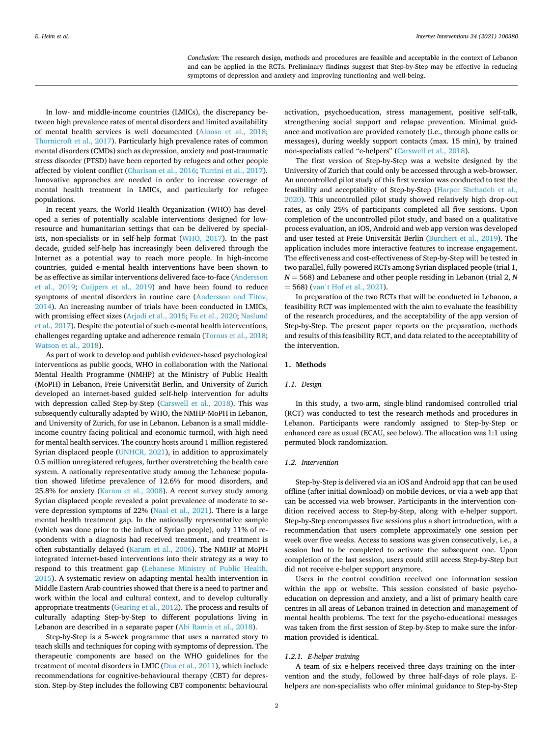*Conclusion:* The research design, methods and procedures are feasible and acceptable in the context of Lebanon and can be applied in the RCTs. Preliminary findings suggest that Step-by-Step may be effective in reducing symptoms of depression and anxiety and improving functioning and well-being.

In low- and middle-income countries (LMICs), the discrepancy between high prevalence rates of mental disorders and limited availability of mental health services is well documented [\(Alonso et al., 2018](#page-7-0); [Thornicroft et al., 2017](#page-8-0)). Particularly high prevalence rates of common mental disorders (CMDs) such as depression, anxiety and post-traumatic stress disorder (PTSD) have been reported by refugees and other people affected by violent conflict ([Charlson et al., 2016](#page-8-0); [Turrini et al., 2017](#page-8-0)). Innovative approaches are needed in order to increase coverage of mental health treatment in LMICs, and particularly for refugee populations.

In recent years, the World Health Organization (WHO) has developed a series of potentially scalable interventions designed for lowresource and humanitarian settings that can be delivered by specialists, non-specialists or in self-help format [\(WHO, 2017](#page-8-0)). In the past decade, guided self-help has increasingly been delivered through the Internet as a potential way to reach more people. In high-income countries, guided e-mental health interventions have been shown to be as effective as similar interventions delivered face-to-face [\(Andersson](#page-7-0)  [et al., 2019](#page-7-0); [Cuijpers et al., 2019\)](#page-8-0) and have been found to reduce symptoms of mental disorders in routine care [\(Andersson and Titov,](#page-7-0)  [2014\)](#page-7-0). An increasing number of trials have been conducted in LMICs, with promising effect sizes [\(Arjadi et al., 2015](#page-7-0); [Fu et al., 2020](#page-8-0); [Naslund](#page-8-0)  [et al., 2017](#page-8-0)). Despite the potential of such e-mental health interventions, challenges regarding uptake and adherence remain ([Torous et al., 2018](#page-8-0); [Watson et al., 2018](#page-8-0)).

As part of work to develop and publish evidence-based psychological interventions as public goods, WHO in collaboration with the National Mental Health Programme (NMHP) at the Ministry of Public Health (MoPH) in Lebanon, Freie Universität Berlin, and University of Zurich developed an internet-based guided self-help intervention for adults with depression called Step-by-Step ([Carswell et al., 2018](#page-8-0)). This was subsequently culturally adapted by WHO, the NMHP-MoPH in Lebanon, and University of Zurich, for use in Lebanon. Lebanon is a small middleincome country facing political and economic turmoil, with high need for mental health services. The country hosts around 1 million registered Syrian displaced people ([UNHCR, 2021](#page-8-0)), in addition to approximately 0.5 million unregistered refugees, further overstretching the health care system. A nationally representative study among the Lebanese population showed lifetime prevalence of 12.6% for mood disorders, and 25.8% for anxiety ([Karam et al., 2008](#page-8-0)). A recent survey study among Syrian displaced people revealed a point prevalence of moderate to severe depression symptoms of 22% [\(Naal et al., 2021](#page-8-0)). There is a large mental health treatment gap. In the nationally representative sample (which was done prior to the influx of Syrian people), only 11% of respondents with a diagnosis had received treatment, and treatment is often substantially delayed ([Karam et al., 2006\)](#page-8-0). The NMHP at MoPH integrated internet-based interventions into their strategy as a way to respond to this treatment gap ([Lebanese Ministry of Public Health,](#page-8-0)  [2015\)](#page-8-0). A systematic review on adapting mental health intervention in Middle Eastern Arab countries showed that there is a need to partner and work within the local and cultural context, and to develop culturally appropriate treatments [\(Gearing et al., 2012\)](#page-8-0). The process and results of culturally adapting Step-by-Step to different populations living in Lebanon are described in a separate paper [\(Abi Ramia et al., 2018](#page-7-0)).

Step-by-Step is a 5-week programme that uses a narrated story to teach skills and techniques for coping with symptoms of depression. The therapeutic components are based on the WHO guidelines for the treatment of mental disorders in LMIC [\(Dua et al., 2011\)](#page-8-0), which include recommendations for cognitive-behavioural therapy (CBT) for depression. Step-by-Step includes the following CBT components: behavioural

activation, psychoeducation, stress management, positive self-talk, strengthening social support and relapse prevention. Minimal guidance and motivation are provided remotely (i.e., through phone calls or messages), during weekly support contacts (max. 15 min), by trained non-specialists called "e-helpers" [\(Carswell et al., 2018](#page-8-0)).

The first version of Step-by-Step was a website designed by the University of Zurich that could only be accessed through a web-browser. An uncontrolled pilot study of this first version was conducted to test the feasibility and acceptability of Step-by-Step ([Harper Shehadeh et al.,](#page-8-0)  [2020\)](#page-8-0). This uncontrolled pilot study showed relatively high drop-out rates, as only 25% of participants completed all five sessions. Upon completion of the uncontrolled pilot study, and based on a qualitative process evaluation, an iOS, Android and web app version was developed and user tested at Freie Universität Berlin [\(Burchert et al., 2019](#page-7-0)). The application includes more interactive features to increase engagement. The effectiveness and cost-effectiveness of Step-by-Step will be tested in two parallel, fully-powered RCTs among Syrian displaced people (trial 1, *N* = 568) and Lebanese and other people residing in Lebanon (trial 2, *N*  = 568) (van'[t Hof et al., 2021\)](#page-8-0).

In preparation of the two RCTs that will be conducted in Lebanon, a feasibility RCT was implemented with the aim to evaluate the feasibility of the research procedures, and the acceptability of the app version of Step-by-Step. The present paper reports on the preparation, methods and results of this feasibility RCT, and data related to the acceptability of the intervention.

## **1. Methods**

## *1.1. Design*

In this study, a two-arm, single-blind randomised controlled trial (RCT) was conducted to test the research methods and procedures in Lebanon. Participants were randomly assigned to Step-by-Step or enhanced care as usual (ECAU, see below). The allocation was 1:1 using permuted block randomization.

## *1.2. Intervention*

Step-by-Step is delivered via an iOS and Android app that can be used offline (after initial download) on mobile devices, or via a web app that can be accessed via web browser. Participants in the intervention condition received access to Step-by-Step, along with e-helper support. Step-by-Step encompasses five sessions plus a short introduction, with a recommendation that users complete approximately one session per week over five weeks. Access to sessions was given consecutively, i.e., a session had to be completed to activate the subsequent one. Upon completion of the last session, users could still access Step-by-Step but did not receive e-helper support anymore.

Users in the control condition received one information session within the app or website. This session consisted of basic psychoeducation on depression and anxiety, and a list of primary health care centres in all areas of Lebanon trained in detection and management of mental health problems. The text for the psycho-educational messages was taken from the first session of Step-by-Step to make sure the information provided is identical.

## *1.2.1. E-helper training*

A team of six e-helpers received three days training on the intervention and the study, followed by three half-days of role plays. Ehelpers are non-specialists who offer minimal guidance to Step-by-Step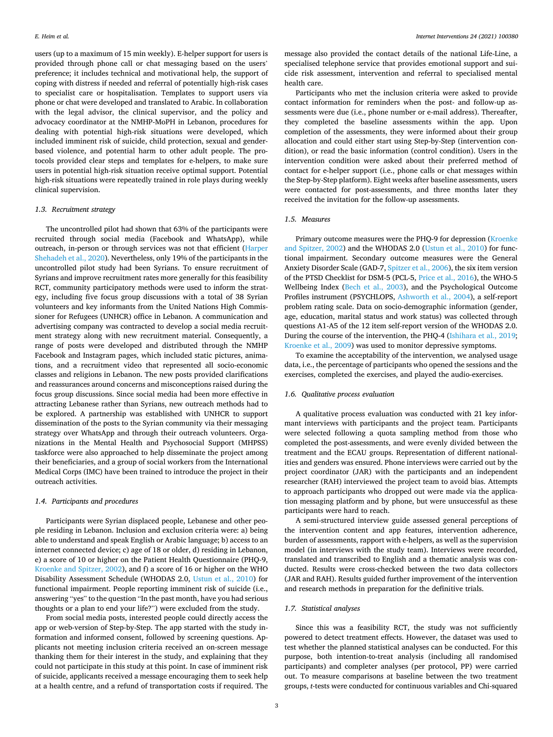users (up to a maximum of 15 min weekly). E-helper support for users is provided through phone call or chat messaging based on the users' preference; it includes technical and motivational help, the support of coping with distress if needed and referral of potentially high-risk cases to specialist care or hospitalisation. Templates to support users via phone or chat were developed and translated to Arabic. In collaboration with the legal advisor, the clinical supervisor, and the policy and advocacy coordinator at the NMHP-MoPH in Lebanon, procedures for dealing with potential high-risk situations were developed, which included imminent risk of suicide, child protection, sexual and genderbased violence, and potential harm to other adult people. The protocols provided clear steps and templates for e-helpers, to make sure users in potential high-risk situation receive optimal support. Potential high-risk situations were repeatedly trained in role plays during weekly clinical supervision.

## *1.3. Recruitment strategy*

The uncontrolled pilot had shown that 63% of the participants were recruited through social media (Facebook and WhatsApp), while outreach, in-person or through services was not that efficient [\(Harper](#page-8-0)  [Shehadeh et al., 2020\)](#page-8-0). Nevertheless, only 19% of the participants in the uncontrolled pilot study had been Syrians. To ensure recruitment of Syrians and improve recruitment rates more generally for this feasibility RCT, community participatory methods were used to inform the strategy, including five focus group discussions with a total of 38 Syrian volunteers and key informants from the United Nations High Commissioner for Refugees (UNHCR) office in Lebanon. A communication and advertising company was contracted to develop a social media recruitment strategy along with new recruitment material. Consequently, a range of posts were developed and distributed through the NMHP Facebook and Instagram pages, which included static pictures, animations, and a recruitment video that represented all socio-economic classes and religions in Lebanon. The new posts provided clarifications and reassurances around concerns and misconceptions raised during the focus group discussions. Since social media had been more effective in attracting Lebanese rather than Syrians, new outreach methods had to be explored. A partnership was established with UNHCR to support dissemination of the posts to the Syrian community via their messaging strategy over WhatsApp and through their outreach volunteers. Organizations in the Mental Health and Psychosocial Support (MHPSS) taskforce were also approached to help disseminate the project among their beneficiaries, and a group of social workers from the International Medical Corps (IMC) have been trained to introduce the project in their outreach activities.

## *1.4. Participants and procedures*

Participants were Syrian displaced people, Lebanese and other people residing in Lebanon. Inclusion and exclusion criteria were: a) being able to understand and speak English or Arabic language; b) access to an internet connected device; c) age of 18 or older, d) residing in Lebanon, e) a score of 10 or higher on the Patient Health Questionnaire (PHQ-9, [Kroenke and Spitzer, 2002](#page-8-0)), and f) a score of 16 or higher on the WHO Disability Assessment Schedule (WHODAS 2.0, [Ustun et al., 2010\)](#page-8-0) for functional impairment. People reporting imminent risk of suicide (i.e., answering "yes" to the question "In the past month, have you had serious thoughts or a plan to end your life?") were excluded from the study.

From social media posts, interested people could directly access the app or web-version of Step-by-Step. The app started with the study information and informed consent, followed by screening questions. Applicants not meeting inclusion criteria received an on-screen message thanking them for their interest in the study, and explaining that they could not participate in this study at this point. In case of imminent risk of suicide, applicants received a message encouraging them to seek help at a health centre, and a refund of transportation costs if required. The

message also provided the contact details of the national Life-Line, a specialised telephone service that provides emotional support and suicide risk assessment, intervention and referral to specialised mental health care.

Participants who met the inclusion criteria were asked to provide contact information for reminders when the post- and follow-up assessments were due (i.e., phone number or e-mail address). Thereafter, they completed the baseline assessments within the app. Upon completion of the assessments, they were informed about their group allocation and could either start using Step-by-Step (intervention condition), or read the basic information (control condition). Users in the intervention condition were asked about their preferred method of contact for e-helper support (i.e., phone calls or chat messages within the Step-by-Step platform). Eight weeks after baseline assessments, users were contacted for post-assessments, and three months later they received the invitation for the follow-up assessments.

## *1.5. Measures*

Primary outcome measures were the PHQ-9 for depression ([Kroenke](#page-8-0)  [and Spitzer, 2002](#page-8-0)) and the WHODAS 2.0 ([Ustun et al., 2010\)](#page-8-0) for functional impairment. Secondary outcome measures were the General Anxiety Disorder Scale (GAD-7, [Spitzer et al., 2006](#page-8-0)), the six item version of the PTSD Checklist for DSM-5 (PCL-5, [Price et al., 2016\)](#page-8-0), the WHO-5 Wellbeing Index ([Bech et al., 2003](#page-7-0)), and the Psychological Outcome Profiles instrument (PSYCHLOPS, [Ashworth et al., 2004\)](#page-7-0), a self-report problem rating scale. Data on socio-demographic information (gender, age, education, marital status and work status) was collected through questions A1-A5 of the 12 item self-report version of the WHODAS 2.0. During the course of the intervention, the PHQ-4 [\(Ishihara et al., 2019](#page-8-0); [Kroenke et al., 2009](#page-8-0)) was used to monitor depressive symptoms.

To examine the acceptability of the intervention, we analysed usage data, i.e., the percentage of participants who opened the sessions and the exercises, completed the exercises, and played the audio-exercises.

## *1.6. Qualitative process evaluation*

A qualitative process evaluation was conducted with 21 key informant interviews with participants and the project team. Participants were selected following a quota sampling method from those who completed the post-assessments, and were evenly divided between the treatment and the ECAU groups. Representation of different nationalities and genders was ensured. Phone interviews were carried out by the project coordinator (JAR) with the participants and an independent researcher (RAH) interviewed the project team to avoid bias. Attempts to approach participants who dropped out were made via the application messaging platform and by phone, but were unsuccessful as these participants were hard to reach.

A semi-structured interview guide assessed general perceptions of the intervention content and app features, intervention adherence, burden of assessments, rapport with e-helpers, as well as the supervision model (in interviews with the study team). Interviews were recorded, translated and transcribed to English and a thematic analysis was conducted. Results were cross-checked between the two data collectors (JAR and RAH). Results guided further improvement of the intervention and research methods in preparation for the definitive trials.

## *1.7. Statistical analyses*

Since this was a feasibility RCT, the study was not sufficiently powered to detect treatment effects. However, the dataset was used to test whether the planned statistical analyses can be conducted. For this purpose, both intention-to-treat analysis (including all randomised participants) and completer analyses (per protocol, PP) were carried out. To measure comparisons at baseline between the two treatment groups, *t*-tests were conducted for continuous variables and Chi-squared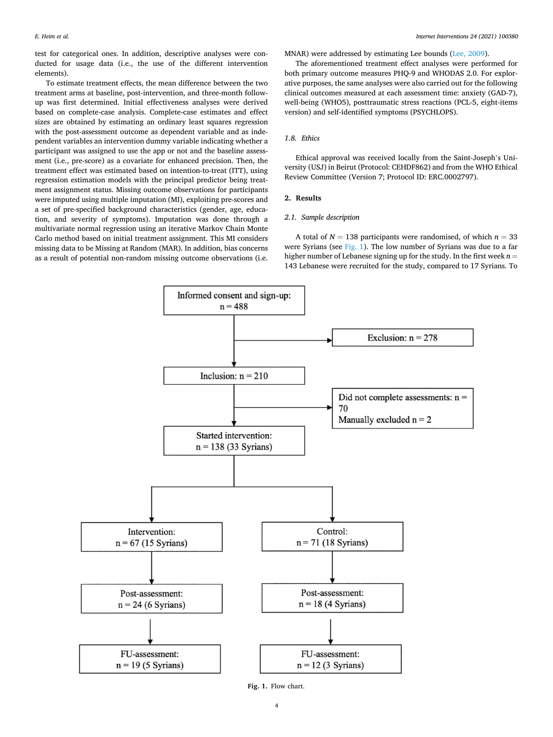test for categorical ones. In addition, descriptive analyses were conducted for usage data (i.e., the use of the different intervention elements).

To estimate treatment effects, the mean difference between the two treatment arms at baseline, post-intervention, and three-month followup was first determined. Initial effectiveness analyses were derived based on complete-case analysis. Complete-case estimates and effect sizes are obtained by estimating an ordinary least squares regression with the post-assessment outcome as dependent variable and as independent variables an intervention dummy variable indicating whether a participant was assigned to use the app or not and the baseline assessment (i.e., pre-score) as a covariate for enhanced precision. Then, the treatment effect was estimated based on intention-to-treat (ITT), using regression estimation models with the principal predictor being treatment assignment status. Missing outcome observations for participants were imputed using multiple imputation (MI), exploiting pre-scores and a set of pre-specified background characteristics (gender, age, education, and severity of symptoms). Imputation was done through a multivariate normal regression using an iterative Markov Chain Monte Carlo method based on initial treatment assignment. This MI considers missing data to be Missing at Random (MAR). In addition, bias concerns as a result of potential non-random missing outcome observations (i.e.

MNAR) were addressed by estimating Lee bounds ([Lee, 2009](#page-8-0)).

The aforementioned treatment effect analyses were performed for both primary outcome measures PHQ-9 and WHODAS 2.0. For explorative purposes, the same analyses were also carried out for the following clinical outcomes measured at each assessment time: anxiety (GAD-7), well-being (WHO5), posttraumatic stress reactions (PCL-5, eight-items version) and self-identified symptoms (PSYCHLOPS).

## *1.8. Ethics*

Ethical approval was received locally from the Saint-Joseph's University (USJ) in Beirut (Protocol: CEHDF862) and from the WHO Ethical Review Committee (Version 7; Protocol ID: ERC.0002797).

## **2. Results**

## *2.1. Sample description*

A total of  $N = 138$  participants were randomised, of which  $n = 33$ were Syrians (see Fig. 1). The low number of Syrians was due to a far higher number of Lebanese signing up for the study. In the first week  $n =$ 143 Lebanese were recruited for the study, compared to 17 Syrians. To



**Fig. 1.** Flow chart.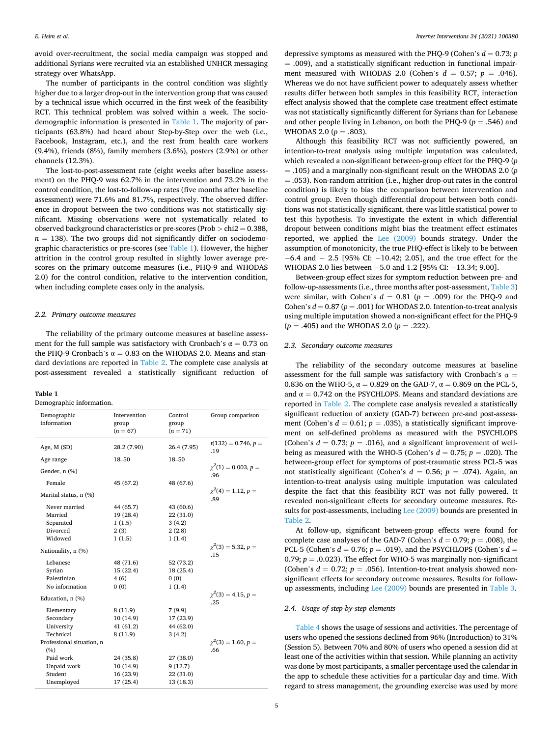avoid over-recruitment, the social media campaign was stopped and additional Syrians were recruited via an established UNHCR messaging strategy over WhatsApp.

The number of participants in the control condition was slightly higher due to a larger drop-out in the intervention group that was caused by a technical issue which occurred in the first week of the feasibility RCT. This technical problem was solved within a week. The sociodemographic information is presented in Table 1. The majority of participants (63.8%) had heard about Step-by-Step over the web (i.e., Facebook, Instagram, etc.), and the rest from health care workers (9.4%), friends (8%), family members (3.6%), posters (2.9%) or other channels (12.3%).

The lost-to-post-assessment rate (eight weeks after baseline assessment) on the PHQ-9 was 62.7% in the intervention and 73.2% in the control condition, the lost-to-follow-up rates (five months after baseline assessment) were 71.6% and 81.7%, respectively. The observed difference in dropout between the two conditions was not statistically significant. Missing observations were not systematically related to observed background characteristics or pre-scores (Prob *>* chi2 = 0.388,  $n = 138$ ). The two groups did not significantly differ on sociodemographic characteristics or pre-scores (see Table 1). However, the higher attrition in the control group resulted in slightly lower average prescores on the primary outcome measures (i.e., PHQ-9 and WHODAS 2.0) for the control condition, relative to the intervention condition, when including complete cases only in the analysis.

## *2.2. Primary outcome measures*

The reliability of the primary outcome measures at baseline assessment for the full sample was satisfactory with Cronbach's  $\alpha = 0.73$  on the PHQ-9 Cronbach's  $\alpha = 0.83$  on the WHODAS 2.0. Means and standard deviations are reported in [Table 2](#page-5-0). The complete case analysis at post-assessment revealed a statistically significant reduction of

#### **Table 1**

Demographic information.

| Demographic<br>information | Intervention<br>group<br>$(n = 67)$ | Control<br>group<br>$(n = 71)$ | Group comparison                  |
|----------------------------|-------------------------------------|--------------------------------|-----------------------------------|
| Age, M (SD)                | 28.2 (7.90)                         | 26.4 (7.95)                    | $t(132) = 0.746, p =$<br>.19      |
| Age range                  | 18-50                               | 18-50                          |                                   |
| Gender, n (%)              |                                     |                                | $\gamma^2(1) = 0.003, p =$<br>.96 |
| Female                     | 45 (67.2)                           | 48 (67.6)                      |                                   |
| Marital status, n (%)      |                                     |                                | $\gamma^2(4) = 1.12, p =$<br>.89  |
| Never married              | 44 (65.7)                           | 43 (60.6)                      |                                   |
| Married                    | 19 (28.4)                           | 22 (31.0)                      |                                   |
| Separated                  | 1(1.5)                              | 3(4.2)                         |                                   |
| Divorced                   | 2(3)                                | 2(2.8)                         |                                   |
| Widowed                    | 1(1.5)                              | 1(1.4)                         |                                   |
| Nationality, n (%)         |                                     |                                | $\gamma^2(3) = 5.32, p =$<br>.15  |
| Lebanese                   | 48 (71.6)                           | 52 (73.2)                      |                                   |
| Syrian                     | 15(22.4)                            | 18 (25.4)                      |                                   |
| Palestinian                | 4(6)                                | 0(0)                           |                                   |
| No information             | 0(0)                                | 1(1.4)                         |                                   |
| Education, n (%)           |                                     |                                | $\gamma^2(3) = 4.15, p =$<br>.25  |
| Elementary                 | 8(11.9)                             | 7(9.9)                         |                                   |
| Secondary                  | 10(14.9)                            | 17 (23.9)                      |                                   |
| University                 | 41(61.2)                            | 44 (62.0)                      |                                   |
| Technical                  | 8(11.9)                             | 3(4.2)                         |                                   |
| Professional situation, n  |                                     |                                | $\chi^2(3) = 1.60, p =$           |
| (%)                        |                                     |                                | .66                               |
| Paid work                  | 24 (35.8)                           | 27 (38.0)                      |                                   |
| Unpaid work                | 10(14.9)                            | 9(12.7)                        |                                   |
| Student                    | 16 (23.9)                           | 22 (31.0)                      |                                   |
| Unemployed                 | 17 (25.4)                           | 13 (18.3)                      |                                   |

depressive symptoms as measured with the PHQ-9 (Cohen's  $d = 0.73$ ; *p*  $=$  .009), and a statistically significant reduction in functional impairment measured with WHODAS 2.0 (Cohen's  $d = 0.57$ ;  $p = .046$ ). Whereas we do not have sufficient power to adequately assess whether results differ between both samples in this feasibility RCT, interaction effect analysis showed that the complete case treatment effect estimate was not statistically significantly different for Syrians than for Lebanese and other people living in Lebanon, on both the PHQ-9 ( $p = .546$ ) and WHODAS 2.0 ( $p = .803$ ).

Although this feasibility RCT was not sufficiently powered, an intention-to-treat analysis using multiple imputation was calculated, which revealed a non-significant between-group effect for the PHQ-9 (*p*  = .105) and a marginally non-significant result on the WHODAS 2.0 (*p*  = .053). Non-random attrition (i.e., higher drop-out rates in the control condition) is likely to bias the comparison between intervention and control group. Even though differential dropout between both conditions was not statistically significant, there was little statistical power to test this hypothesis. To investigate the extent in which differential dropout between conditions might bias the treatment effect estimates reported, we applied the [Lee \(2009\)](#page-8-0) bounds strategy. Under the assumption of monotonicity, the true PHQ-effect is likely to be between − 6.4 and − 2.5 [95% CI: − 10.42; 2.05], and the true effect for the WHODAS 2.0 lies between -5.0 and 1.2 [95% CI: -13.34; 9.00].

Between-group effect sizes for symptom reduction between pre- and follow-up-assessments (i.e., three months after post-assessment, [Table 3\)](#page-6-0) were similar, with Cohen's  $d = 0.81$  ( $p = .009$ ) for the PHQ-9 and Cohen's  $d = 0.87$  ( $p = .001$ ) for WHODAS 2.0. Intention-to-treat analysis using multiple imputation showed a non-significant effect for the PHQ-9 (*p* = .405) and the WHODAS 2.0 (*p* = .222).

## *2.3. Secondary outcome measures*

The reliability of the secondary outcome measures at baseline assessment for the full sample was satisfactory with Cronbach's  $\alpha$  = 0.836 on the WHO-5,  $\alpha = 0.829$  on the GAD-7,  $\alpha = 0.869$  on the PCL-5, and  $\alpha = 0.742$  on the PSYCHLOPS. Means and standard deviations are reported in [Table 2](#page-5-0). The complete case analysis revealed a statistically significant reduction of anxiety (GAD-7) between pre-and post-assessment (Cohen's  $d = 0.61$ ;  $p = .035$ ), a statistically significant improvement on self-defined problems as measured with the PSYCHLOPS (Cohen's  $d = 0.73$ ;  $p = .016$ ), and a significant improvement of wellbeing as measured with the WHO-5 (Cohen's  $d = 0.75$ ;  $p = .020$ ). The between-group effect for symptoms of post-traumatic stress PCL-5 was not statistically significant (Cohen's  $d = 0.56$ ;  $p = .074$ ). Again, an intention-to-treat analysis using multiple imputation was calculated despite the fact that this feasibility RCT was not fully powered. It revealed non-significant effects for secondary outcome measures. Results for post-assessments, including [Lee \(2009\)](#page-8-0) bounds are presented in [Table 2](#page-5-0).

At follow-up, significant between-group effects were found for complete case analyses of the GAD-7 (Cohen's  $d = 0.79$ ;  $p = .008$ ), the PCL-5 (Cohen's *d* = 0.76; *p* = .019), and the PSYCHLOPS (Cohen's *d* = 0.79;  $p = 0.023$ ). The effect for WHO-5 was marginally non-significant (Cohen's  $d = 0.72$ ;  $p = .056$ ). Intention-to-treat analysis showed nonsignificant effects for secondary outcome measures. Results for followup assessments, including [Lee \(2009\)](#page-8-0) bounds are presented in [Table 3](#page-6-0).

## *2.4. Usage of step-by-step elements*

[Table 4](#page-6-0) shows the usage of sessions and activities. The percentage of users who opened the sessions declined from 96% (Introduction) to 31% (Session 5). Between 70% and 80% of users who opened a session did at least one of the activities within that session. While planning an activity was done by most participants, a smaller percentage used the calendar in the app to schedule these activities for a particular day and time. With regard to stress management, the grounding exercise was used by more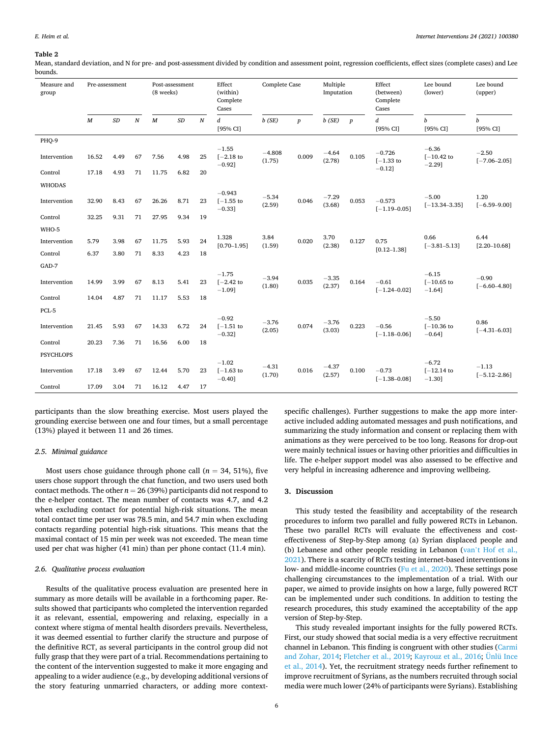#### <span id="page-5-0"></span>**Table 2**

Mean, standard deviation, and N for pre- and post-assessment divided by condition and assessment point, regression coefficients, effect sizes (complete cases) and Lee bounds.

| Measure and<br>group | Pre-assessment   |      |                  | (8 weeks)        | Post-assessment |                  | Effect<br>(within)<br>Complete<br>Cases | Complete Case      |                  | Multiple<br>Imputation |                  | Effect<br>(between)<br>Complete<br>Cases | Lee bound<br>(lower)                  | Lee bound<br>(upper)         |
|----------------------|------------------|------|------------------|------------------|-----------------|------------------|-----------------------------------------|--------------------|------------------|------------------------|------------------|------------------------------------------|---------------------------------------|------------------------------|
|                      | $\boldsymbol{M}$ | SD   | $\boldsymbol{N}$ | $\boldsymbol{M}$ | SD              | $\boldsymbol{N}$ | d<br>[95% CI]                           | $b$ (SE)           | $\boldsymbol{p}$ | $b$ (SE)               | $\boldsymbol{p}$ | d<br>[95% CI]                            | $\boldsymbol{b}$<br>[95% CI]          | $\boldsymbol{b}$<br>[95% CI] |
| PHQ-9                |                  |      |                  |                  |                 |                  |                                         |                    |                  |                        |                  |                                          |                                       |                              |
| Intervention         | 16.52            | 4.49 | 67               | 7.56             | 4.98            | 25               | $-1.55$<br>$[-2.18$ to<br>$-0.921$      | $-4.808$<br>(1.75) | 0.009            | $-4.64$<br>(2.78)      | 0.105            | $-0.726$<br>$[-1.33$ to                  | $-6.36$<br>$[-10.42]$ to<br>$-2.29$ ] | $-2.50$<br>$[-7.06 - 2.05]$  |
| Control              | 17.18            | 4.93 | 71               | 11.75            | 6.82            | 20               |                                         |                    |                  |                        |                  | $-0.12$ ]                                |                                       |                              |
| <b>WHODAS</b>        |                  |      |                  |                  |                 |                  |                                         |                    |                  |                        |                  |                                          |                                       |                              |
| Intervention         | 32.90            | 8.43 | 67               | 26.26            | 8.71            | 23               | $-0.943$<br>$I-1.55$ to<br>$-0.33$ ]    | $-5.34$<br>(2.59)  | 0.046            | $-7.29$<br>(3.68)      | 0.053            | $-0.573$<br>$[-1.19 - 0.05]$             | $-5.00$<br>$[-13.34 - 3.35]$          | 1.20<br>$[-6.59 - 9.00]$     |
| Control              | 32.25            | 9.31 | 71               | 27.95            | 9.34            | 19               |                                         |                    |                  |                        |                  |                                          |                                       |                              |
| WHO-5                |                  |      |                  |                  |                 |                  |                                         |                    |                  |                        |                  |                                          |                                       |                              |
| Intervention         | 5.79             | 3.98 | 67               | 11.75            | 5.93            | 24               | 1.328<br>$[0.70 - 1.95]$                | 3.84<br>(1.59)     | 0.020            | 3.70<br>(2.38)         | 0.127            | 0.75                                     | 0.66<br>$[-3.81 - 5.13]$              | 6.44<br>$[2.20 - 10.68]$     |
| Control              | 6.37             | 3.80 | 71               | 8.33             | 4.23            | 18               |                                         |                    |                  |                        |                  | $[0.12 - 1.38]$                          |                                       |                              |
| GAD-7                |                  |      |                  |                  |                 |                  |                                         |                    |                  |                        |                  |                                          |                                       |                              |
| Intervention         | 14.99            | 3.99 | 67               | 8.13             | 5.41            | 23               | $-1.75$<br>$[-2.42$ to<br>$-1.09$ ]     | $-3.94$<br>(1.80)  | 0.035            | $-3.35$<br>(2.37)      | 0.164            | $-0.61$<br>$[-1.24 - 0.02]$              | $-6.15$<br>$[-10.65]$ to<br>$-1.64$ ] | $-0.90$<br>$[-6.60 - 4.80]$  |
| Control              | 14.04            | 4.87 | 71               | 11.17            | 5.53            | 18               |                                         |                    |                  |                        |                  |                                          |                                       |                              |
| PCL-5                |                  |      |                  |                  |                 |                  |                                         |                    |                  |                        |                  |                                          |                                       |                              |
| Intervention         | 21.45            | 5.93 | 67               | 14.33            | 6.72            | 24               | $-0.92$<br>$[-1.51$ to<br>$-0.32$ ]     | $-3.76$<br>(2.05)  | 0.074            | $-3.76$<br>(3.03)      | 0.223            | $-0.56$<br>$[-1.18 - 0.06]$              | $-5.50$<br>$[-10.36]$ to<br>$-0.64$ ] | 0.86<br>$[-4.31 - 6.03]$     |
| Control              | 20.23            | 7.36 | 71               | 16.56            | 6.00            | 18               |                                         |                    |                  |                        |                  |                                          |                                       |                              |
| <b>PSYCHLOPS</b>     |                  |      |                  |                  |                 |                  |                                         |                    |                  |                        |                  |                                          |                                       |                              |
| Intervention         | 17.18            | 3.49 | 67               | 12.44            | 5.70            | 23               | $-1.02$<br>$[-1.63$ to<br>$-0.40$ ]     | $-4.31$<br>(1.70)  | 0.016            | $-4.37$<br>(2.57)      | 0.100            | $-0.73$<br>$[-1.38 - 0.08]$              | $-6.72$<br>$[-12.14]$ to<br>$-1.30$ ] | $-1.13$<br>$[-5.12 - 2.86]$  |
| Control              | 17.09            | 3.04 | 71               | 16.12            | 4.47            | 17               |                                         |                    |                  |                        |                  |                                          |                                       |                              |

participants than the slow breathing exercise. Most users played the grounding exercise between one and four times, but a small percentage (13%) played it between 11 and 26 times.

## *2.5. Minimal guidance*

Most users chose guidance through phone call ( $n = 34, 51\%$ ), five users chose support through the chat function, and two users used both contact methods. The other  $n = 26$  (39%) participants did not respond to the e-helper contact. The mean number of contacts was 4.7, and 4.2 when excluding contact for potential high-risk situations. The mean total contact time per user was 78.5 min, and 54.7 min when excluding contacts regarding potential high-risk situations. This means that the maximal contact of 15 min per week was not exceeded. The mean time used per chat was higher (41 min) than per phone contact (11.4 min).

## *2.6. Qualitative process evaluation*

Results of the qualitative process evaluation are presented here in summary as more details will be available in a forthcoming paper. Results showed that participants who completed the intervention regarded it as relevant, essential, empowering and relaxing, especially in a context where stigma of mental health disorders prevails. Nevertheless, it was deemed essential to further clarify the structure and purpose of the definitive RCT, as several participants in the control group did not fully grasp that they were part of a trial. Recommendations pertaining to the content of the intervention suggested to make it more engaging and appealing to a wider audience (e.g., by developing additional versions of the story featuring unmarried characters, or adding more context-

specific challenges). Further suggestions to make the app more interactive included adding automated messages and push notifications, and summarizing the study information and consent or replacing them with animations as they were perceived to be too long. Reasons for drop-out were mainly technical issues or having other priorities and difficulties in life. The e-helper support model was also assessed to be effective and very helpful in increasing adherence and improving wellbeing.

## **3. Discussion**

This study tested the feasibility and acceptability of the research procedures to inform two parallel and fully powered RCTs in Lebanon. These two parallel RCTs will evaluate the effectiveness and costeffectiveness of Step-by-Step among (a) Syrian displaced people and (b) Lebanese and other people residing in Lebanon (van'[t Hof et al.,](#page-8-0)  [2021\)](#page-8-0). There is a scarcity of RCTs testing internet-based interventions in low- and middle-income countries ([Fu et al., 2020\)](#page-8-0). These settings pose challenging circumstances to the implementation of a trial. With our paper, we aimed to provide insights on how a large, fully powered RCT can be implemented under such conditions. In addition to testing the research procedures, this study examined the acceptability of the app version of Step-by-Step.

This study revealed important insights for the fully powered RCTs. First, our study showed that social media is a very effective recruitment channel in Lebanon. This finding is congruent with other studies [\(Carmi](#page-7-0)  [and Zohar, 2014;](#page-7-0) [Fletcher et al., 2019;](#page-8-0) [Kayrouz et al., 2016; Ünlü Ince](#page-8-0)  [et al., 2014](#page-8-0)). Yet, the recruitment strategy needs further refinement to improve recruitment of Syrians, as the numbers recruited through social media were much lower (24% of participants were Syrians). Establishing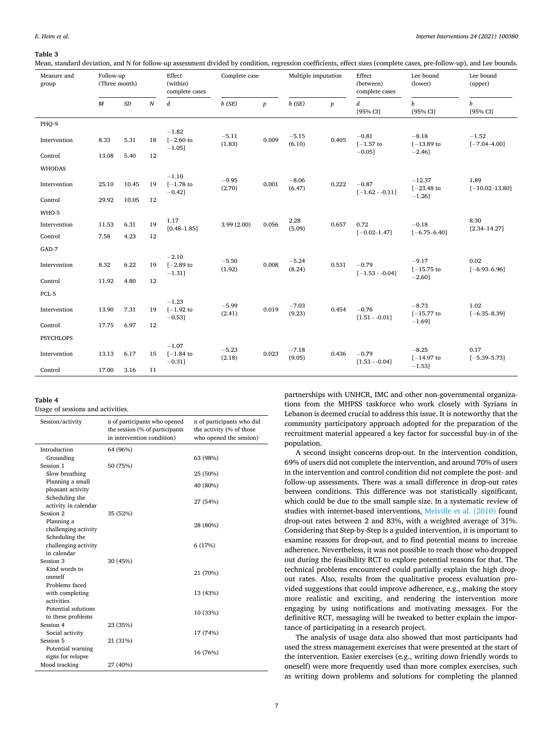#### <span id="page-6-0"></span>**Table 3**

Mean, standard deviation, and N for follow-up assessment divided by condition, regression coefficients, effect sizes (complete cases, pre-follow-up), and Lee bounds.

| Measure and<br>group | Follow-up<br>(Three month) |           | Effect<br>(within)<br>complete cases |                                      | Complete case     |                  | Multiple imputation |                  | Effect<br>(between)<br>complete cases | Lee bound<br>(lower)         | Lee bound<br>(upper)        |
|----------------------|----------------------------|-----------|--------------------------------------|--------------------------------------|-------------------|------------------|---------------------|------------------|---------------------------------------|------------------------------|-----------------------------|
|                      | $\boldsymbol{M}$           | $\cal SD$ | $\boldsymbol{N}$                     | $\boldsymbol{d}$                     | $b$ (SE)          | $\boldsymbol{p}$ | $b$ (SE)            | $\boldsymbol{p}$ | $\boldsymbol{d}$<br>[95% CI]          | $\boldsymbol{b}$<br>[95% CI] | b<br>[95% CI]               |
| PHQ-9                |                            |           |                                      |                                      |                   |                  |                     |                  |                                       |                              |                             |
| Intervention         | 8.33                       | 5.31      | 18                                   | $-1.82$<br>$[-2.60]$ to<br>$-1.05$ ] | $-5.11$<br>(1.83) | 0.009            | $-5.15$<br>(6.10)   | 0.405            | $-0.81$<br>$[-1.57$ to                | $-8.18$<br>$[-13.89]$ to     | $-1.52$<br>$[-7.04 - 4.00]$ |
| Control              | 13.08                      | 5.40      | 12                                   |                                      |                   |                  |                     |                  | $-0.05$ ]                             | $-2.46$ ]                    |                             |
| <b>WHODAS</b>        |                            |           |                                      |                                      |                   |                  |                     |                  |                                       |                              |                             |
| Intervention         | 25.10                      | 10.45     | 19                                   | $-1.10$<br>$[-1.78$ to<br>$-0.42$ ]  | $-9.95$<br>(2.70) | 0.001            | $-8.06$<br>(6.47)   | 0.222            | $-0.87$<br>$[-1.62 - 0.11]$           | $-12.37$<br>$[-23.48]$ to    | 1.89<br>$[-10.02 - 13.80]$  |
| Control              | 29.92                      | 10.05     | 12                                   |                                      |                   |                  |                     |                  |                                       | $-1.26$ ]                    |                             |
| WHO-5                |                            |           |                                      |                                      |                   |                  |                     |                  |                                       |                              |                             |
| Intervention         | 11.53                      | 6.31      | 19                                   | 1.17<br>$[0.48 - 1.85]$              | 3.99(2.00)        | 0.056            | 2.28<br>(5.09)      | 0.657            | 0.72                                  | $-0.18$                      | 8.30<br>$[2.34 - 14.27]$    |
| Control              | 7.58                       | 4.23      | 12                                   |                                      |                   |                  |                     |                  | $[-0.02 - 1.47]$                      | $[-6.75 - 6.40]$             |                             |
| GAD-7                |                            |           |                                      |                                      |                   |                  |                     |                  |                                       |                              |                             |
| Intervention         | 8.32                       | 6.22      | 19                                   | $-2.10$<br>$[-2.89$ to<br>$-1.31$ ]  | $-5.50$<br>(1.92) | 0.008            | $-5.24$<br>(8.24)   | 0.531            | $-0.79$<br>$[-1.53 - 0.04]$           | $-9.17$<br>$[-15.75]$ to     | 0.02<br>$[-6.93 - 6.96]$    |
| Control              | 11.92                      | 4.80      | 12                                   |                                      |                   |                  |                     |                  |                                       | $-2.60$ ]                    |                             |
| PCL-5                |                            |           |                                      |                                      |                   |                  |                     |                  |                                       |                              |                             |
| Intervention         | 13.90                      | 7.31      | 19                                   | $-1.23$<br>$[-1.92$ to<br>$-0.53$ ]  | $-5.99$<br>(2.41) | 0.019            | $-7.03$<br>(9.23)   | 0.454            | $-0.76$<br>$[1.51 - 0.01]$            | $-8.73$<br>$[-15.77$ to      | 1.02<br>$[-6.35 - 8.39]$    |
| Control              | 17.75                      | 6.97      | 12                                   |                                      |                   |                  |                     |                  |                                       | $-1.69$ ]                    |                             |
| <b>PSYCHLOPS</b>     |                            |           |                                      |                                      |                   |                  |                     |                  |                                       |                              |                             |
| Intervention         | 13.13                      | 6.17      | 15                                   | $-1.07$<br>$[-1.84]$ to<br>$-0.31$ ] | $-5.23$<br>(2.18) | 0.023            | $-7.18$<br>(9.05)   | 0.436            | $-0.79$<br>$[1.53 - 0.04]$            | $-8.25$<br>$[-14.97$ to      | 0.17<br>$[-5.39 - 5.73]$    |
| Control              | 17.00                      | 3.16      | 11                                   |                                      |                   |                  |                     |                  |                                       | $-1.53$ ]                    |                             |

## **Table 4**

Usage of sessions and activities.

| Session/activity                       | n of participants who opened<br>the session (% of participants<br>in intervention condition) | n of participants who did<br>the activity (% of those<br>who opened the session) |
|----------------------------------------|----------------------------------------------------------------------------------------------|----------------------------------------------------------------------------------|
| Introduction                           | 64 (96%)                                                                                     |                                                                                  |
| Grounding                              |                                                                                              | 63 (98%)                                                                         |
| Session 1                              | 50 (75%)                                                                                     |                                                                                  |
| Slow breathing                         |                                                                                              | 25 (50%)                                                                         |
| Planning a small                       |                                                                                              | 40 (80%)                                                                         |
| pleasant activity                      |                                                                                              |                                                                                  |
| Scheduling the                         |                                                                                              | 27 (54%)                                                                         |
| activity in calendar                   |                                                                                              |                                                                                  |
| Session 2                              | 35 (52%)                                                                                     |                                                                                  |
| Planning a                             |                                                                                              | 28 (80%)                                                                         |
| challenging activity<br>Scheduling the |                                                                                              |                                                                                  |
| challenging activity                   |                                                                                              | 6(17%)                                                                           |
| in calendar                            |                                                                                              |                                                                                  |
| Session 3                              | 30 (45%)                                                                                     |                                                                                  |
| Kind words to                          |                                                                                              |                                                                                  |
| oneself                                |                                                                                              | 21 (70%)                                                                         |
| Problems faced                         |                                                                                              |                                                                                  |
| with completing                        |                                                                                              | 13 (43%)                                                                         |
| activities                             |                                                                                              |                                                                                  |
| Potential solutions                    |                                                                                              | 10 (33%)                                                                         |
| to these problems                      |                                                                                              |                                                                                  |
| Session 4                              | 23 (35%)                                                                                     |                                                                                  |
| Social activity                        |                                                                                              | 17 (74%)                                                                         |
| Session 5                              | 21 (31%)                                                                                     |                                                                                  |
| Potential warning                      |                                                                                              | 16 (76%)                                                                         |
| signs for relapse                      |                                                                                              |                                                                                  |
| Mood tracking                          | 27 (40%)                                                                                     |                                                                                  |

partnerships with UNHCR, IMC and other non-governmental organizations from the MHPSS taskforce who work closely with Syrians in Lebanon is deemed crucial to address this issue. It is noteworthy that the community participatory approach adopted for the preparation of the recruitment material appeared a key factor for successful buy-in of the population.

A second insight concerns drop-out. In the intervention condition, 69% of users did not complete the intervention, and around 70% of users in the intervention and control condition did not complete the post- and follow-up assessments. There was a small difference in drop-out rates between conditions. This difference was not statistically significant, which could be due to the small sample size. In a systematic review of studies with internet-based interventions, [Melville et al. \(2010\)](#page-8-0) found drop-out rates between 2 and 83%, with a weighted average of 31%. Considering that Step-by-Step is a guided intervention, it is important to examine reasons for drop-out, and to find potential means to increase adherence. Nevertheless, it was not possible to reach those who dropped out during the feasibility RCT to explore potential reasons for that. The technical problems encountered could partially explain the high dropout rates. Also, results from the qualitative process evaluation provided suggestions that could improve adherence, e.g., making the story more realistic and exciting, and rendering the intervention more engaging by using notifications and motivating messages. For the definitive RCT, messaging will be tweaked to better explain the importance of participating in a research project.

The analysis of usage data also showed that most participants had used the stress management exercises that were presented at the start of the intervention. Easier exercises (e.g., writing down friendly words to oneself) were more frequently used than more complex exercises, such as writing down problems and solutions for completing the planned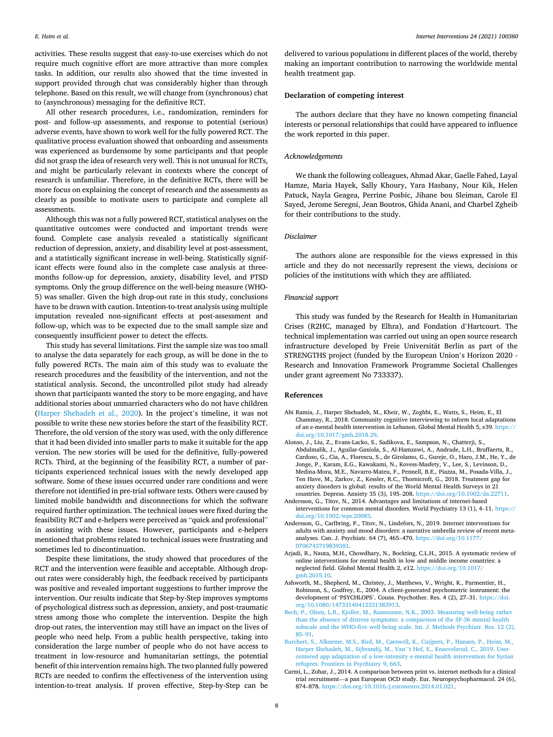<span id="page-7-0"></span>activities. These results suggest that easy-to-use exercises which do not require much cognitive effort are more attractive than more complex tasks. In addition, our results also showed that the time invested in support provided through chat was considerably higher than through telephone. Based on this result, we will change from (synchronous) chat to (asynchronous) messaging for the definitive RCT.

All other research procedures, i.e., randomization, reminders for post- and follow-up assessments, and response to potential (serious) adverse events, have shown to work well for the fully powered RCT. The qualitative process evaluation showed that onboarding and assessments was experienced as burdensome by some participants and that people did not grasp the idea of research very well. This is not unusual for RCTs, and might be particularly relevant in contexts where the concept of research is unfamiliar. Therefore, in the definitive RCTs, there will be more focus on explaining the concept of research and the assessments as clearly as possible to motivate users to participate and complete all assessments.

Although this was not a fully powered RCT, statistical analyses on the quantitative outcomes were conducted and important trends were found. Complete case analysis revealed a statistically significant reduction of depression, anxiety, and disability level at post-assessment, and a statistically significant increase in well-being. Statistically significant effects were found also in the complete case analysis at threemonths follow-up for depression, anxiety, disability level, and PTSD symptoms. Only the group difference on the well-being measure (WHO-5) was smaller. Given the high drop-out rate in this study, conclusions have to be drawn with caution. Intention-to-treat analysis using multiple imputation revealed non-significant effects at post-assessment and follow-up, which was to be expected due to the small sample size and consequently insufficient power to detect the effects.

This study has several limitations. First the sample size was too small to analyse the data separately for each group, as will be done in the to fully powered RCTs. The main aim of this study was to evaluate the research procedures and the feasibility of the intervention, and not the statistical analysis. Second, the uncontrolled pilot study had already shown that participants wanted the story to be more engaging, and have additional stories about unmarried characters who do not have children ([Harper Shehadeh et al., 2020\)](#page-8-0). In the project's timeline, it was not possible to write these new stories before the start of the feasibility RCT. Therefore, the old version of the story was used, with the only difference that it had been divided into smaller parts to make it suitable for the app version. The new stories will be used for the definitive, fully-powered RCTs. Third, at the beginning of the feasibility RCT, a number of participants experienced technical issues with the newly developed app software. Some of these issues occurred under rare conditions and were therefore not identified in pre-trial software tests. Others were caused by limited mobile bandwidth and disconnections for which the software required further optimization. The technical issues were fixed during the feasibility RCT and e-helpers were perceived as "quick and professional" in assisting with these issues. However, participants and e-helpers mentioned that problems related to technical issues were frustrating and sometimes led to discontinuation.

Despite these limitations, the study showed that procedures of the RCT and the intervention were feasible and acceptable. Although dropout rates were considerably high, the feedback received by participants was positive and revealed important suggestions to further improve the intervention. Our results indicate that Step-by-Step improves symptoms of psychological distress such as depression, anxiety, and post-traumatic stress among those who complete the intervention. Despite the high drop-out rates, the intervention may still have an impact on the lives of people who need help. From a public health perspective, taking into consideration the large number of people who do not have access to treatment in low-resource and humanitarian settings, the potential benefit of this intervention remains high. The two planned fully powered RCTs are needed to confirm the effectiveness of the intervention using intention-to-treat analysis. If proven effective, Step-by-Step can be

delivered to various populations in different places of the world, thereby making an important contribution to narrowing the worldwide mental health treatment gap.

## **Declaration of competing interest**

The authors declare that they have no known competing financial interests or personal relationships that could have appeared to influence the work reported in this paper.

## *Acknowledgements*

We thank the following colleagues, Ahmad Akar, Gaelle Fahed, Layal Hamze, Maria Hayek, Sally Khoury, Yara Hasbany, Nour Kik, Helen Patuck, Nayla Geagea, Perrine Posbic, Jihane bou Sleiman, Carole El Sayed, Jerome Seregni, Jean Boutros, Ghida Anani, and Charbel Zgheib for their contributions to the study.

## *Disclaimer*

The authors alone are responsible for the views expressed in this article and they do not necessarily represent the views, decisions or policies of the institutions with which they are affiliated.

## *Financial support*

This study was funded by the Research for Health in Humanitarian Crises (R2HC, managed by Elhra), and Fondation d'Hartcourt. The technical implementation was carried out using an open source research infrastructure developed by Freie Universität Berlin as part of the STRENGTHS project (funded by the European Union's Horizon 2020 - Research and Innovation Framework Programme Societal Challenges under grant agreement No 733337).

#### **References**

- Abi Ramia, J., Harper Shehadeh, M., Kheir, W., Zoghbi, E., Watts, S., Heim, E., El Chammay, R., 2018. Community cognitive interviewing to inform local adaptations of an e-mental health intervention in Lebanon. Global Mental Health 5, e39. [https://](https://doi.org/10.1017/gmh.2018.29)  [doi.org/10.1017/gmh.2018.29.](https://doi.org/10.1017/gmh.2018.29)
- Alonso, J., Liu, Z., Evans-Lacko, S., Sadikova, E., Sampson, N., Chatterji, S., Abdulmalik, J., Aguilar-Gaxiola, S., Al-Hamzawi, A., Andrade, L.H., Bruffaerts, R., Cardoso, G., Cia, A., Florescu, S., de Girolamo, G., Gureje, O., Haro, J.M., He, Y., de Jonge, P., Karam, E.G., Kawakami, N., Kovess-Masfety, V., Lee, S., Levinson, D., Medina-Mora, M.E., Navarro-Mateu, F., Pennell, B.E., Piazza, M., Posada-Villa, J., Ten Have, M., Zarkov, Z., Kessler, R.C., Thornicroft, G., 2018. Treatment gap for anxiety disorders is global: results of the World Mental Health Surveys in 21 countries. Depress. Anxiety 35 (3), 195–208. [https://doi.org/10.1002/da.22711.](https://doi.org/10.1002/da.22711)
- Andersson, G., Titov, N., 2014. Advantages and limitations of internet-based interventions for common mental disorders. World Psychiatry 13 (1), 4–11. [https://](https://doi.org/10.1002/wps.20083)  [doi.org/10.1002/wps.20083](https://doi.org/10.1002/wps.20083).
- Andersson, G., Carlbring, P., Titov, N., Lindefors, N., 2019. Internet interventions for adults with anxiety and mood disorders: a narrative umbrella review of recent metaanalyses. Can. J. Psychiatr. 64 (7), 465–470. [https://doi.org/10.1177/](https://doi.org/10.1177/0706743719839381)  [0706743719839381.](https://doi.org/10.1177/0706743719839381)
- Arjadi, R., Nauta, M.H., Chowdhary, N., Bockting, C.L.H., 2015. A systematic review of online interventions for mental health in low and middle income countries: a neglected field. Global Mental Health 2, e12. [https://doi.org/10.1017/](https://doi.org/10.1017/gmh.2015.10)  [gmh.2015.10](https://doi.org/10.1017/gmh.2015.10).
- Ashworth, M., Shepherd, M., Christey, J., Matthews, V., Wright, K., Parmentier, H., Robinson, S., Godfrey, E., 2004. A client-generated psychometric instrument: the development of 'PSYCHLOPS'. Couns. Psychother. Res. 4 (2), 27–31. [https://doi.](https://doi.org/10.1080/14733140412331383913)  [org/10.1080/14733140412331383913](https://doi.org/10.1080/14733140412331383913).
- [Bech, P., Olsen, L.R., Kjoller, M., Rasmussen, N.K., 2003. Measuring well-being rather](http://refhub.elsevier.com/S2214-7829(21)00020-8/rf0030)  [than the absence of distress symptoms: a comparison of the SF-36 mental health](http://refhub.elsevier.com/S2214-7829(21)00020-8/rf0030) [subscale and the WHO-five well-being scale. Int. J. Methods Psychiatr. Res. 12 \(2\),](http://refhub.elsevier.com/S2214-7829(21)00020-8/rf0030) 85–[91](http://refhub.elsevier.com/S2214-7829(21)00020-8/rf0030).
- [Burchert, S., Alkneme, M.S., Bird, M., Carswell, K., Cuijpers, P., Hansen, P., Heim, M.,](http://refhub.elsevier.com/S2214-7829(21)00020-8/rf0035)  [Harper Shehadeh, M., Sijbrandij, M., Van](http://refhub.elsevier.com/S2214-7829(21)00020-8/rf0035)''t Hof, E., Knaevelsrud, C., 2019. User[centered app adaptation of a low-intensity e-mental health intervention for Syrian](http://refhub.elsevier.com/S2214-7829(21)00020-8/rf0035) [refugees. Frontiers in Psychiatry 9, 663.](http://refhub.elsevier.com/S2214-7829(21)00020-8/rf0035)
- Carmi, L., Zohar, J., 2014. A comparison between print vs. internet methods for a clinical trial recruitment—a pan European OCD study. Eur. Neuropsychopharmacol. 24 (6), 874–878. <https://doi.org/10.1016/j.euroneuro.2014.01.021>.